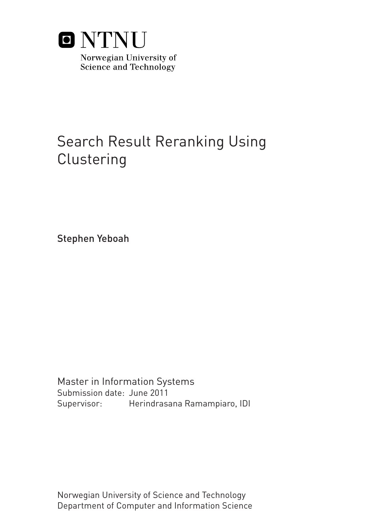

# Search Result Reranking Using **Clustering**

Stephen Yeboah

Master in Information Systems Submission date: June 2011 Herindrasana Ramampiaro, IDI Supervisor:

Norwegian University of Science and Technology Department of Computer and Information Science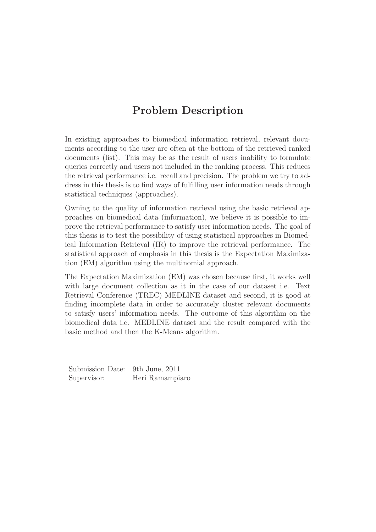## Problem Description

In existing approaches to biomedical information retrieval, relevant documents according to the user are often at the bottom of the retrieved ranked documents (list). This may be as the result of users inability to formulate queries correctly and users not included in the ranking process. This reduces the retrieval performance i.e. recall and precision. The problem we try to address in this thesis is to find ways of fulfilling user information needs through statistical techniques (approaches).

Owning to the quality of information retrieval using the basic retrieval approaches on biomedical data (information), we believe it is possible to improve the retrieval performance to satisfy user information needs. The goal of this thesis is to test the possibility of using statistical approaches in Biomedical Information Retrieval (IR) to improve the retrieval performance. The statistical approach of emphasis in this thesis is the Expectation Maximization (EM) algorithm using the multinomial approach.

The Expectation Maximization (EM) was chosen because first, it works well with large document collection as it in the case of our dataset i.e. Text Retrieval Conference (TREC) MEDLINE dataset and second, it is good at finding incomplete data in order to accurately cluster relevant documents to satisfy users' information needs. The outcome of this algorithm on the biomedical data i.e. MEDLINE dataset and the result compared with the basic method and then the K-Means algorithm.

Submission Date: 9th June, 2011 Supervisor: Heri Ramampiaro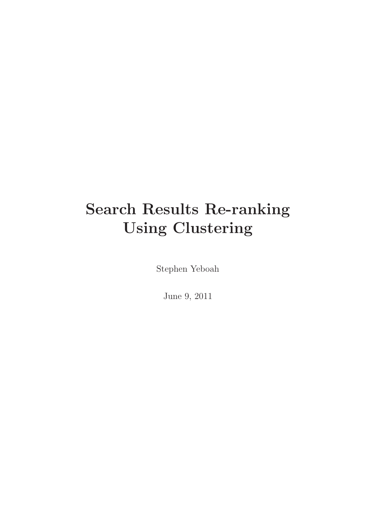# Search Results Re-ranking Using Clustering

Stephen Yeboah

June 9, 2011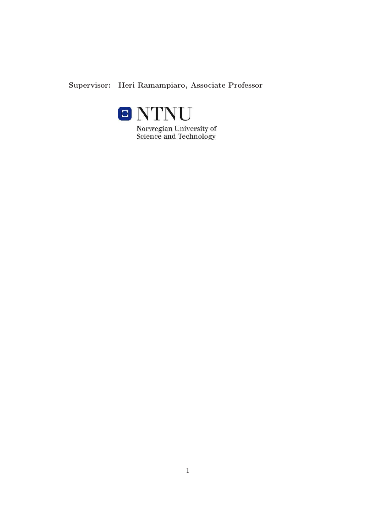### Supervisor: Heri Ramampiaro, Associate Professor



Norwegian University of<br>Science and Technology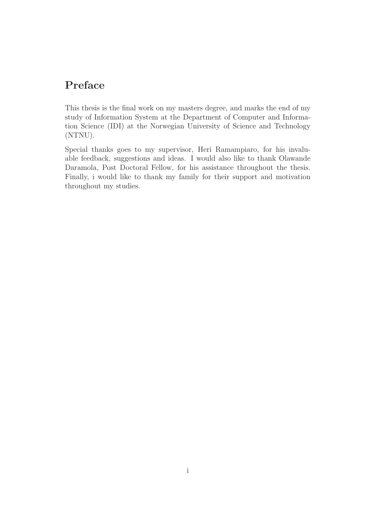## Preface

This thesis is the final work on my masters degree, and marks the end of my study of Information System at the Department of Computer and Information Science (IDI) at the Norwegian University of Science and Technology (NTNU).

Special thanks goes to my supervisor, Heri Ramampiaro, for his invaluable feedback, suggestions and ideas. I would also like to thank Olawande Daramola, Post Doctoral Fellow, for his assistance throughout the thesis. Finally, i would like to thank my family for their support and motivation throughout my studies.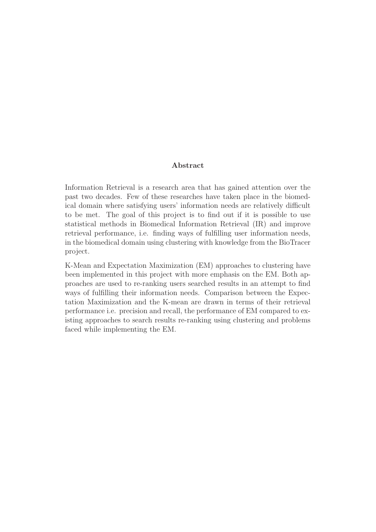#### Abstract

Information Retrieval is a research area that has gained attention over the past two decades. Few of these researches have taken place in the biomedical domain where satisfying users' information needs are relatively difficult to be met. The goal of this project is to find out if it is possible to use statistical methods in Biomedical Information Retrieval (IR) and improve retrieval performance, i.e. finding ways of fulfilling user information needs, in the biomedical domain using clustering with knowledge from the BioTracer project.

K-Mean and Expectation Maximization (EM) approaches to clustering have been implemented in this project with more emphasis on the EM. Both approaches are used to re-ranking users searched results in an attempt to find ways of fulfilling their information needs. Comparison between the Expectation Maximization and the K-mean are drawn in terms of their retrieval performance i.e. precision and recall, the performance of EM compared to existing approaches to search results re-ranking using clustering and problems faced while implementing the EM.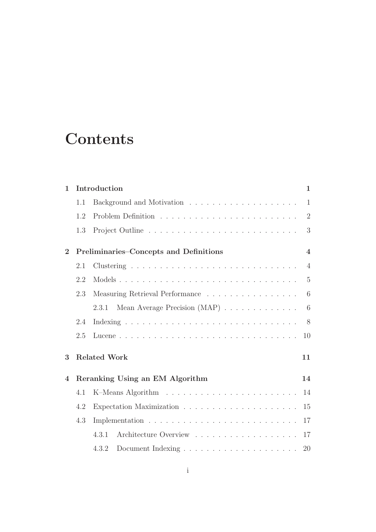# **Contents**

| $\mathbf{1}$             |     | Introduction                           | $\mathbf{1}$   |
|--------------------------|-----|----------------------------------------|----------------|
|                          | 1.1 |                                        | $\mathbf{1}$   |
|                          | 1.2 |                                        | $\overline{2}$ |
|                          | 1.3 |                                        | 3              |
| $\mathbf{2}$             |     | Preliminaries-Concepts and Definitions | $\overline{4}$ |
|                          | 2.1 |                                        | $\overline{4}$ |
|                          | 2.2 |                                        | $\overline{5}$ |
|                          | 2.3 | Measuring Retrieval Performance        | 6              |
|                          |     | Mean Average Precision (MAP)<br>2.3.1  | 6              |
|                          | 2.4 |                                        | 8              |
|                          | 2.5 |                                        | 10             |
| 3                        |     | <b>Related Work</b>                    | 11             |
| $\overline{\mathcal{A}}$ |     | Reranking Using an EM Algorithm        | 14             |
|                          | 4.1 |                                        | 14             |
|                          | 4.2 |                                        | 15             |
|                          | 4.3 |                                        | 17             |
|                          |     | 4.3.1                                  | 17             |
|                          |     | 4.3.2                                  | 20             |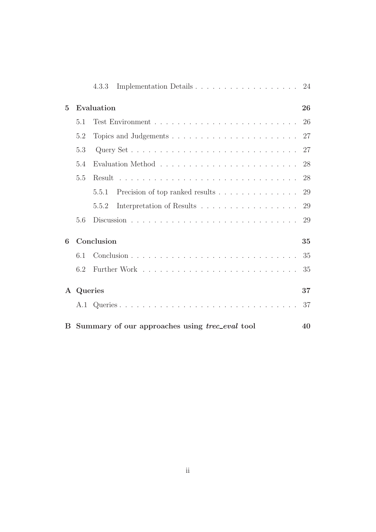|                |           | Implementation Details<br>4.3.3                         | 24 |
|----------------|-----------|---------------------------------------------------------|----|
| $\overline{5}$ |           | Evaluation                                              | 26 |
|                | 5.1       |                                                         | 26 |
|                | 5.2       |                                                         | 27 |
|                | 5.3       |                                                         |    |
|                | 5.4       |                                                         | 28 |
|                | 5.5       |                                                         | 28 |
|                |           | Precision of top ranked results<br>5.5.1                | 29 |
|                |           | Interpretation of Results<br>5.5.2                      | 29 |
|                | 5.6       |                                                         | 29 |
| 6              |           | Conclusion                                              | 35 |
|                | 6.1       |                                                         |    |
|                | 6.2       |                                                         | 35 |
|                | A Queries |                                                         | 37 |
|                |           |                                                         | 37 |
|                |           | B Summary of our approaches using <i>trec_eval</i> tool | 40 |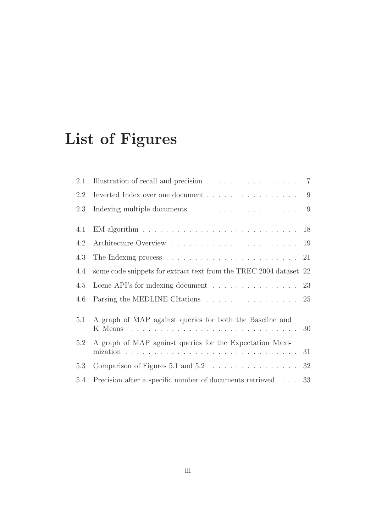# List of Figures

| 2.1 | Illustration of recall and precision $\ldots \ldots \ldots \ldots \ldots$ 7                    |  |
|-----|------------------------------------------------------------------------------------------------|--|
| 2.2 | Inverted Index over one document $\dots \dots \dots \dots \dots \dots \dots$                   |  |
| 2.3 |                                                                                                |  |
| 4.1 | EM algorithm $\ldots \ldots \ldots \ldots \ldots \ldots \ldots \ldots \ldots \ldots \ldots 18$ |  |
| 4.2 |                                                                                                |  |
| 4.3 |                                                                                                |  |
| 4.4 | some code snippets for extract text from the TREC 2004 dataset 22                              |  |
| 4.5 | Leene API's for indexing document $\ldots \ldots \ldots \ldots \ldots$ 23                      |  |
| 4.6 | Parsing the MEDLINE CItations 25                                                               |  |
| 5.1 | A graph of MAP against queries for both the Baseline and                                       |  |
| 5.2 | A graph of MAP against queries for the Expectation Maxi-                                       |  |
| 5.3 | Comparison of Figures 5.1 and $5.2 \ldots \ldots \ldots \ldots \ldots 32$                      |  |
| 5.4 | Precision after a specific number of documents retrieved 33                                    |  |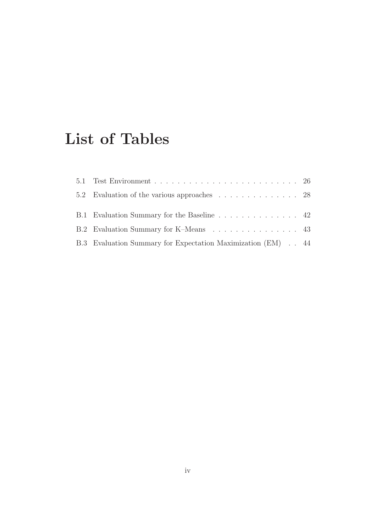## List of Tables

| B.1 Evaluation Summary for the Baseline 42                  |  |
|-------------------------------------------------------------|--|
| B.2 Evaluation Summary for K-Means 43                       |  |
| B.3 Evaluation Summary for Expectation Maximization (EM) 44 |  |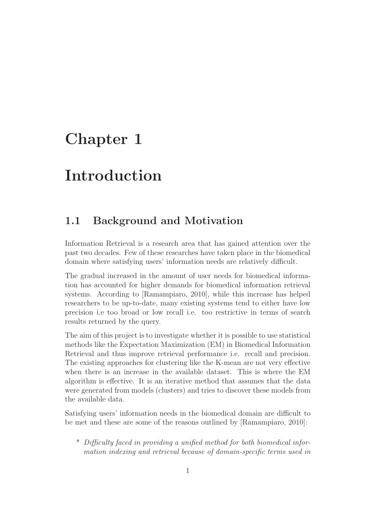## Chapter 1

## Introduction

## 1.1 Background and Motivation

Information Retrieval is a research area that has gained attention over the past two decades. Few of these researches have taken place in the biomedical domain where satisfying users' information needs are relatively difficult.

The gradual increased in the amount of user needs for biomedical information has accounted for higher demands for biomedical information retrieval systems. According to [Ramampiaro, 2010], while this increase has helped researchers to be up-to-date, many existing systems tend to either have low precision i.e too broad or low recall i.e. too restrictive in terms of search results returned by the query.

The aim of this project is to investigate whether it is possible to use statistical methods like the Expectation Maximization (EM) in Biomedical Information Retrieval and thus improve retrieval performance i.e. recall and precision. The existing approaches for clustering like the K-mean are not very effective when there is an increase in the available dataset. This is where the EM algorithm is effective. It is an iterative method that assumes that the data were generated from models (clusters) and tries to discover these models from the available data.

Satisfying users' information needs in the biomedical domain are difficult to be met and these are some of the reasons outlined by [Ramampiaro, 2010]:

\* Difficulty faced in providing a unified method for both biomedical information indexing and retrieval because of domain-specific terms used in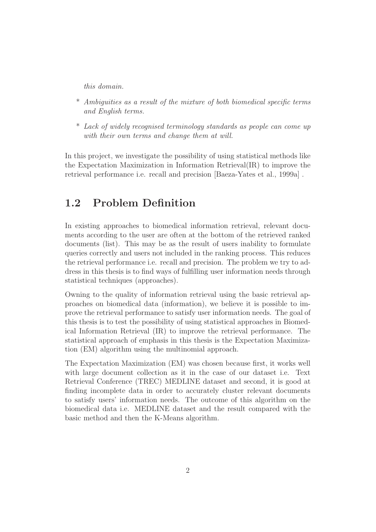this domain.

- \* Ambiguities as a result of the mixture of both biomedical specific terms and English terms.
- \* Lack of widely recognised terminology standards as people can come up with their own terms and change them at will.

In this project, we investigate the possibility of using statistical methods like the Expectation Maximization in Information Retrieval(IR) to improve the retrieval performance i.e. recall and precision [Baeza-Yates et al., 1999a] .

## 1.2 Problem Definition

In existing approaches to biomedical information retrieval, relevant documents according to the user are often at the bottom of the retrieved ranked documents (list). This may be as the result of users inability to formulate queries correctly and users not included in the ranking process. This reduces the retrieval performance i.e. recall and precision. The problem we try to address in this thesis is to find ways of fulfilling user information needs through statistical techniques (approaches).

Owning to the quality of information retrieval using the basic retrieval approaches on biomedical data (information), we believe it is possible to improve the retrieval performance to satisfy user information needs. The goal of this thesis is to test the possibility of using statistical approaches in Biomedical Information Retrieval (IR) to improve the retrieval performance. The statistical approach of emphasis in this thesis is the Expectation Maximization (EM) algorithm using the multinomial approach.

The Expectation Maximization (EM) was chosen because first, it works well with large document collection as it in the case of our dataset i.e. Text Retrieval Conference (TREC) MEDLINE dataset and second, it is good at finding incomplete data in order to accurately cluster relevant documents to satisfy users' information needs. The outcome of this algorithm on the biomedical data i.e. MEDLINE dataset and the result compared with the basic method and then the K-Means algorithm.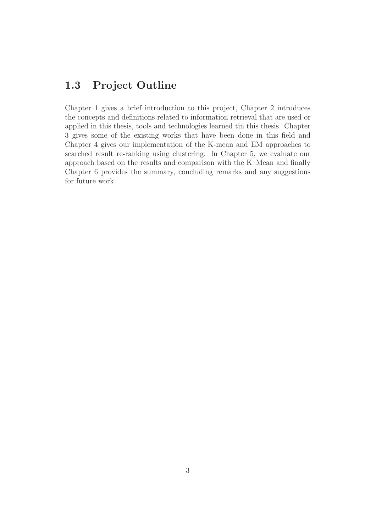## 1.3 Project Outline

Chapter 1 gives a brief introduction to this project, Chapter 2 introduces the concepts and definitions related to information retrieval that are used or applied in this thesis, tools and technologies learned tin this thesis. Chapter 3 gives some of the existing works that have been done in this field and Chapter 4 gives our implementation of the K-mean and EM approaches to searched result re-ranking using clustering. In Chapter 5, we evaluate our approach based on the results and comparison with the K–Mean and finally Chapter 6 provides the summary, concluding remarks and any suggestions for future work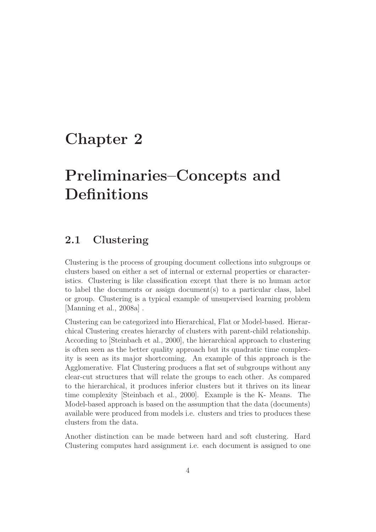## Chapter 2

# Preliminaries–Concepts and Definitions

### 2.1 Clustering

Clustering is the process of grouping document collections into subgroups or clusters based on either a set of internal or external properties or characteristics. Clustering is like classification except that there is no human actor to label the documents or assign document(s) to a particular class, label or group. Clustering is a typical example of unsupervised learning problem [Manning et al., 2008a] .

Clustering can be categorized into Hierarchical, Flat or Model-based. Hierarchical Clustering creates hierarchy of clusters with parent-child relationship. According to [Steinbach et al., 2000], the hierarchical approach to clustering is often seen as the better quality approach but its quadratic time complexity is seen as its major shortcoming. An example of this approach is the Agglomerative. Flat Clustering produces a flat set of subgroups without any clear-cut structures that will relate the groups to each other. As compared to the hierarchical, it produces inferior clusters but it thrives on its linear time complexity [Steinbach et al., 2000]. Example is the K- Means. The Model-based approach is based on the assumption that the data (documents) available were produced from models i.e. clusters and tries to produces these clusters from the data.

Another distinction can be made between hard and soft clustering. Hard Clustering computes hard assignment i.e. each document is assigned to one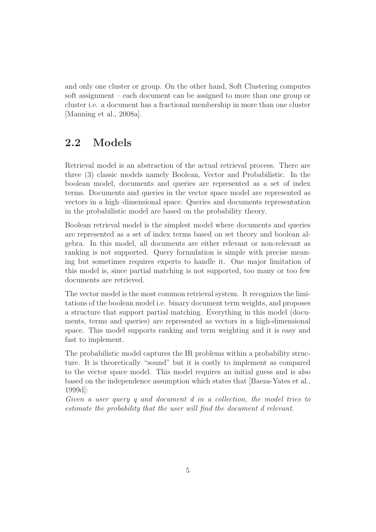and only one cluster or group. On the other hand, Soft Clustering computes soft assignment – each document can be assigned to more than one group or cluster i.e. a document has a fractional membership in more than one cluster [Manning et al., 2008a].

## 2.2 Models

Retrieval model is an abstraction of the actual retrieval process. There are three (3) classic models namely Boolean, Vector and Probabilistic. In the boolean model, documents and queries are represented as a set of index terms. Documents and queries in the vector space model are represented as vectors in a high–dimensional space. Queries and documents representation in the probabilistic model are based on the probability theory.

Boolean retrieval model is the simplest model where documents and queries are represented as a set of index terms based on set theory and boolean algebra. In this model, all documents are either relevant or non-relevant as ranking is not supported. Query formulation is simple with precise meaning but sometimes requires experts to handle it. One major limitation of this model is, since partial matching is not supported, too many or too few documents are retrieved.

The vector model is the most common retrieval system. It recognizes the limitations of the boolean model i.e. binary document term weights, and proposes a structure that support partial matching. Everything in this model (documents, terms and queries) are represented as vectors in a high-dimensional space. This model supports ranking and term weighting and it is easy and fast to implement.

The probabilistic model captures the IR problems within a probability structure. It is theoretically "sound" but it is costly to implement as compared to the vector space model. This model requires an initial guess and is also based on the independence assumption which states that [Baeza-Yates et al., 1999d]:

Given a user query q and document d in a collection, the model tries to estimate the probability that the user will find the document d relevant.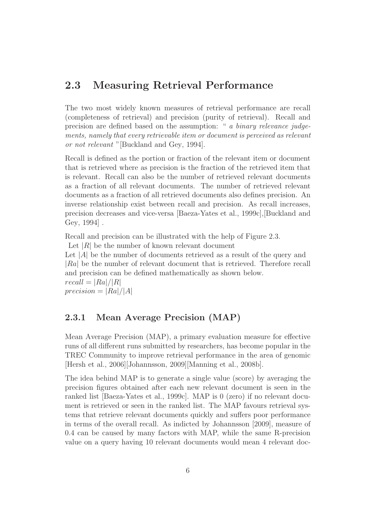## 2.3 Measuring Retrieval Performance

The two most widely known measures of retrieval performance are recall (completeness of retrieval) and precision (purity of retrieval). Recall and precision are defined based on the assumption: " a binary relevance judgements, namely that every retrievable item or document is perceived as relevant or not relevant "[Buckland and Gey, 1994].

Recall is defined as the portion or fraction of the relevant item or document that is retrieved where as precision is the fraction of the retrieved item that is relevant. Recall can also be the number of retrieved relevant documents as a fraction of all relevant documents. The number of retrieved relevant documents as a fraction of all retrieved documents also defines precision. An inverse relationship exist between recall and precision. As recall increases, precision decreases and vice-versa [Baeza-Yates et al., 1999c],[Buckland and Gey, 1994] .

Recall and precision can be illustrated with the help of Figure 2.3. Let  $|R|$  be the number of known relevant document Let  $|A|$  be the number of documents retrieved as a result of the query and |Ra| be the number of relevant document that is retrieved. Therefore recall and precision can be defined mathematically as shown below.  $recall = |Ra|/|R|$  $precision = |Ra|/|A|$ 

#### 2.3.1 Mean Average Precision (MAP)

Mean Average Precision (MAP), a primary evaluation measure for effective runs of all different runs submitted by researchers, has become popular in the TREC Community to improve retrieval performance in the area of genomic [Hersh et al., 2006][Johannsson, 2009][Manning et al., 2008b].

The idea behind MAP is to generate a single value (score) by averaging the precision figures obtained after each new relevant document is seen in the ranked list [Baeza-Yates et al., 1999c]. MAP is 0 (zero) if no relevant document is retrieved or seen in the ranked list. The MAP favours retrieval systems that retrieve relevant documents quickly and suffers poor performance in terms of the overall recall. As indicted by Johannsson [2009], measure of 0.4 can be caused by many factors with MAP, while the same R-precision value on a query having 10 relevant documents would mean 4 relevant doc-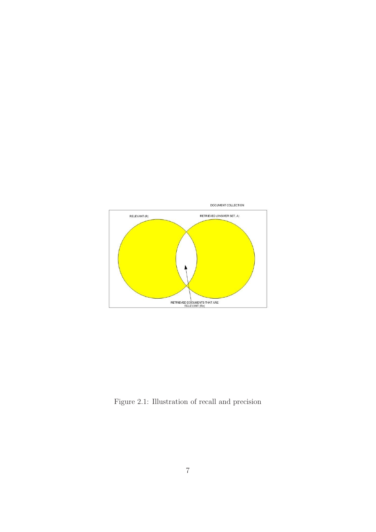

Figure 2.1: Illustration of recall and precision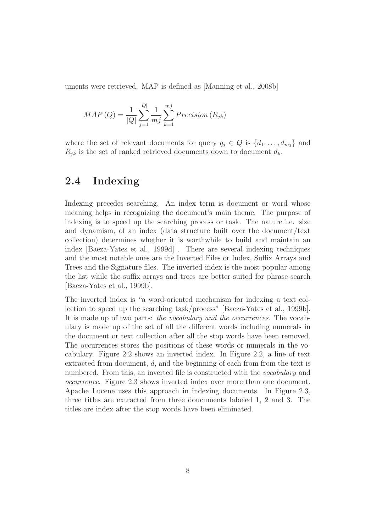uments were retrieved. MAP is defined as [Manning et al., 2008b]

$$
MAP(Q) = \frac{1}{|Q|} \sum_{j=1}^{|Q|} \frac{1}{m_j} \sum_{k=1}^{m_j} Precision(R_{jk})
$$

where the set of relevant documents for query  $q_j \in Q$  is  $\{d_1, \ldots, d_{mj}\}\$  and  $R_{jk}$  is the set of ranked retrieved documents down to document  $d_k$ .

### 2.4 Indexing

Indexing precedes searching. An index term is document or word whose meaning helps in recognizing the document's main theme. The purpose of indexing is to speed up the searching process or task. The nature i.e. size and dynamism, of an index (data structure built over the document/text collection) determines whether it is worthwhile to build and maintain an index [Baeza-Yates et al., 1999d] . There are several indexing techniques and the most notable ones are the Inverted Files or Index, Suffix Arrays and Trees and the Signature files. The inverted index is the most popular among the list while the suffix arrays and trees are better suited for phrase search [Baeza-Yates et al., 1999b].

The inverted index is "a word-oriented mechanism for indexing a text collection to speed up the searching task/process" [Baeza-Yates et al., 1999b]. It is made up of two parts: the vocabulary and the occurrences. The vocabulary is made up of the set of all the different words including numerals in the document or text collection after all the stop words have been removed. The occurrences stores the positions of these words or numerals in the vocabulary. Figure 2.2 shows an inverted index. In Figure 2.2, a line of text extracted from document, d, and the beginning of each from from the text is numbered. From this, an inverted file is constructed with the *vocabulary* and occurrence. Figure 2.3 shows inverted index over more than one document. Apache Lucene uses this approach in indexing documents. In Figure 2.3, three titles are extracted from three doucuments labeled 1, 2 and 3. The titles are index after the stop words have been eliminated.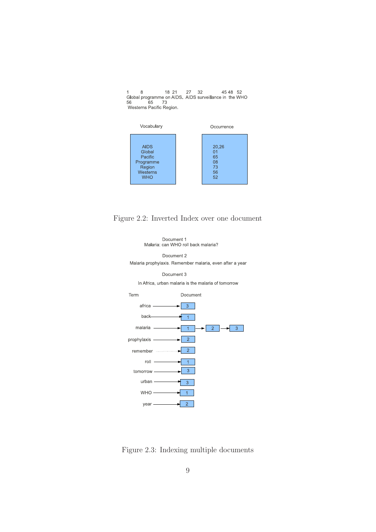1 8 18 21 27 32 45 48 52<br>Global programme on AIDS. AIDS surveillance in the WHO<br>56 65 73<br>Westerns Pacific Region.



Figure 2.2: Inverted Index over one document



Figure 2.3: Indexing multiple documents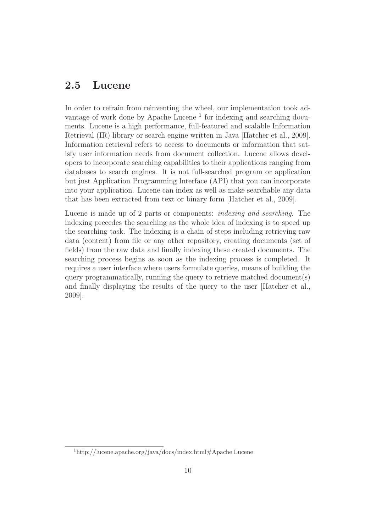## 2.5 Lucene

In order to refrain from reinventing the wheel, our implementation took advantage of work done by Apache Lucene<sup>1</sup> for indexing and searching documents. Lucene is a high performance, full-featured and scalable Information Retrieval (IR) library or search engine written in Java [Hatcher et al., 2009]. Information retrieval refers to access to documents or information that satisfy user information needs from document collection. Lucene allows developers to incorporate searching capabilities to their applications ranging from databases to search engines. It is not full-searched program or application but just Application Programming Interface (API) that you can incorporate into your application. Lucene can index as well as make searchable any data that has been extracted from text or binary form [Hatcher et al., 2009].

Lucene is made up of 2 parts or components: indexing and searching. The indexing precedes the searching as the whole idea of indexing is to speed up the searching task. The indexing is a chain of steps including retrieving raw data (content) from file or any other repository, creating documents (set of fields) from the raw data and finally indexing these created documents. The searching process begins as soon as the indexing process is completed. It requires a user interface where users formulate queries, means of building the query programmatically, running the query to retrieve matched document(s) and finally displaying the results of the query to the user [Hatcher et al., 2009].

<sup>1</sup>http://lucene.apache.org/java/docs/index.html#Apache Lucene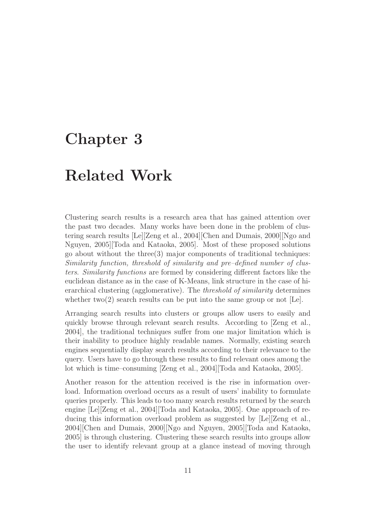## Chapter 3

## Related Work

Clustering search results is a research area that has gained attention over the past two decades. Many works have been done in the problem of clustering search results [Le][Zeng et al., 2004][Chen and Dumais, 2000][Ngo and Nguyen, 2005][Toda and Kataoka, 2005]. Most of these proposed solutions go about without the three $(3)$  major components of traditional techniques: Similarity function, threshold of similarity and pre–defined number of clusters. Similarity functions are formed by considering different factors like the euclidean distance as in the case of K-Means, link structure in the case of hierarchical clustering (agglomerative). The threshold of similarity determines whether two(2) search results can be put into the same group or not  $[Le]$ .

Arranging search results into clusters or groups allow users to easily and quickly browse through relevant search results. According to [Zeng et al., 2004], the traditional techniques suffer from one major limitation which is their inability to produce highly readable names. Normally, existing search engines sequentially display search results according to their relevance to the query. Users have to go through these results to find relevant ones among the lot which is time–consuming [Zeng et al., 2004][Toda and Kataoka, 2005].

Another reason for the attention received is the rise in information overload. Information overload occurs as a result of users' inability to formulate queries properly. This leads to too many search results returned by the search engine [Le][Zeng et al., 2004][Toda and Kataoka, 2005]. One approach of reducing this information overload problem as suggested by [Le][Zeng et al., 2004][Chen and Dumais, 2000][Ngo and Nguyen, 2005][Toda and Kataoka, 2005] is through clustering. Clustering these search results into groups allow the user to identify relevant group at a glance instead of moving through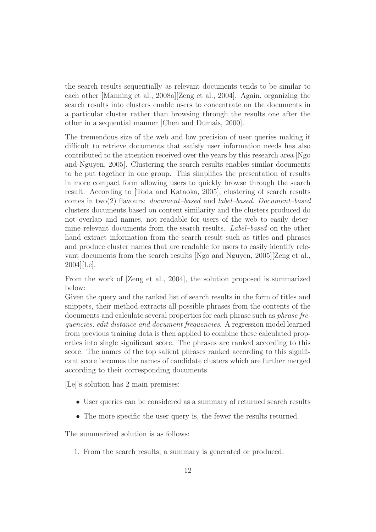the search results sequentially as relevant documents tends to be similar to each other [Manning et al., 2008a][Zeng et al., 2004]. Again, organizing the search results into clusters enable users to concentrate on the documents in a particular cluster rather than browsing through the results one after the other in a sequential manner [Chen and Dumais, 2000].

The tremendous size of the web and low precision of user queries making it difficult to retrieve documents that satisfy user information needs has also contributed to the attention received over the years by this research area [Ngo and Nguyen, 2005]. Clustering the search results enables similar documents to be put together in one group. This simplifies the presentation of results in more compact form allowing users to quickly browse through the search result. According to [Toda and Kataoka, 2005], clustering of search results comes in two(2) flavours: document–based and label–based. Document–based clusters documents based on content similarity and the clusters produced do not overlap and names, not readable for users of the web to easily determine relevant documents from the search results. *Label–based* on the other hand extract information from the search result such as titles and phrases and produce cluster names that are readable for users to easily identify relevant documents from the search results [Ngo and Nguyen, 2005][Zeng et al., 2004][Le].

From the work of [Zeng et al., 2004], the solution proposed is summarized below:

Given the query and the ranked list of search results in the form of titles and snippets, their method extracts all possible phrases from the contents of the documents and calculate several properties for each phrase such as *phrase fre*quencies, edit distance and document frequencies. A regression model learned from previous training data is then applied to combine these calculated properties into single significant score. The phrases are ranked according to this score. The names of the top salient phrases ranked according to this significant score becomes the names of candidate clusters which are further merged according to their corresponding documents.

[Le]'s solution has 2 main premises:

- User queries can be considered as a summary of returned search results
- The more specific the user query is, the fewer the results returned.

The summarized solution is as follows:

1. From the search results, a summary is generated or produced.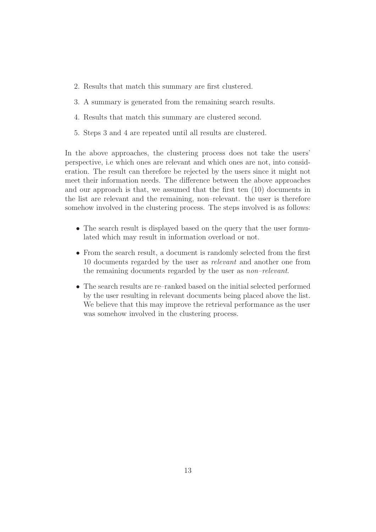- 2. Results that match this summary are first clustered.
- 3. A summary is generated from the remaining search results.
- 4. Results that match this summary are clustered second.
- 5. Steps 3 and 4 are repeated until all results are clustered.

In the above approaches, the clustering process does not take the users' perspective, i.e which ones are relevant and which ones are not, into consideration. The result can therefore be rejected by the users since it might not meet their information needs. The difference between the above approaches and our approach is that, we assumed that the first ten (10) documents in the list are relevant and the remaining, non–relevant. the user is therefore somehow involved in the clustering process. The steps involved is as follows:

- The search result is displayed based on the query that the user formulated which may result in information overload or not.
- From the search result, a document is randomly selected from the first 10 documents regarded by the user as relevant and another one from the remaining documents regarded by the user as non–relevant.
- The search results are re–ranked based on the initial selected performed by the user resulting in relevant documents being placed above the list. We believe that this may improve the retrieval performance as the user was somehow involved in the clustering process.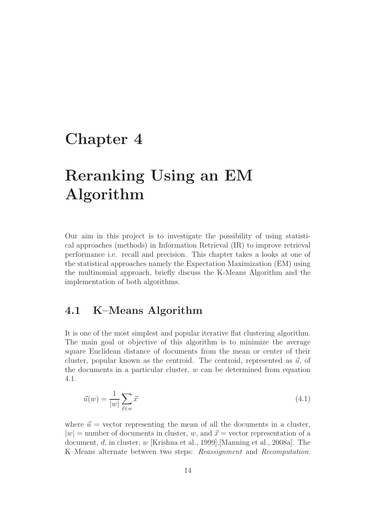## Chapter 4

# Reranking Using an EM Algorithm

Our aim in this project is to investigate the possibility of using statistical approaches (methods) in Information Retrieval (IR) to improve retrieval performance i.e. recall and precision. This chapter takes a looks at one of the statistical approaches namely the Expectation Maximization (EM) using the multinomial approach, briefly discuss the K-Means Algorithm and the implementation of both algorithms.

### 4.1 K–Means Algorithm

It is one of the most simplest and popular iterative flat clustering algorithm. The main goal or objective of this algorithm is to minimize the average square Euclidean distance of documents from the mean or center of their cluster, popular known as the centroid. The centroid, represented as  $\vec{u}$ , of the documents in a particular cluster,  $w$  can be determined from equation 4.1.

$$
\vec{u}(w) = \frac{1}{|w|} \sum_{\vec{x} \in w} \vec{x} \tag{4.1}
$$

where  $\vec{u}$  = vector representing the mean of all the documents in a cluster,  $|w|$  = number of documents in cluster, w, and  $\vec{x}$  = vector representation of a document, d, in cluster, w [Krishna et al., 1999],[Manning et al., 2008a]. The K–Means alternate between two steps: Reassignment and Recomputation.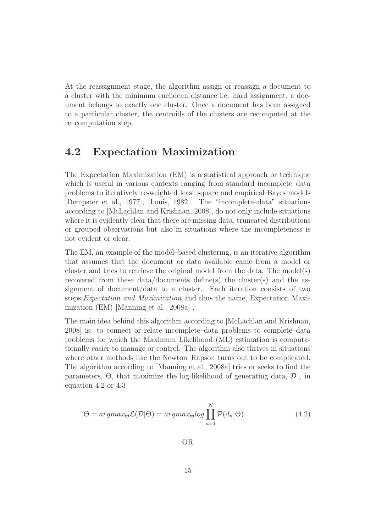At the reassignment stage, the algorithm assign or reassign a document to a cluster with the minimum euclidean distance i.e. hard assignment, a document belongs to exactly one cluster. Once a document has been assigned to a particular cluster, the centroids of the clusters are recomputed at the re–computation step.

### 4.2 Expectation Maximization

The Expectation Maximization (EM) is a statistical approach or technique which is useful in various contexts ranging from standard incomplete–data problems to iteratively re-weighted least square and empirical Bayes models [Dempster et al., 1977], [Louis, 1982]. The "incomplete–data" situations according to [McLachlan and Krishnan, 2008], do not only include situations where it is evidently clear that there are missing data, truncated distributions or grouped observations but also in situations where the incompleteness is not evident or clear.

The EM, an example of the model–based clustering, is an iterative algorithm that assumes that the document or data available came from a model or cluster and tries to retrieve the original model from the data. The model(s) recovered from these  $data/documents$  define(s) the cluster(s) and the assignment of document/data to a cluster. Each iteration consists of two steps:Expectation and Maximization and thus the name, Expectation Maximization (EM) [Manning et al., 2008a] .

The main idea behind this algorithm according to [McLachlan and Krishnan, 2008] is: to connect or relate incomplete–data problems to complete–data problems for which the Maximum Likelihood (ML) estimation is computationally easier to manage or control. The algorithm also thrives in situations where other methods like the Newton–Rapson turns out to be complicated. The algorithm according to [Manning et al., 2008a] tries or seeks to find the parameters,  $\Theta$ , that maximize the log-likelihood of generating data,  $\mathcal D$ , in equation 4.2 or 4.3

$$
\Theta = argmax_{\Theta} \mathcal{L}(\mathcal{D}|\Theta) = argmax_{\Theta} log \prod_{n=1}^{N} \mathcal{P}(d_n|\Theta)
$$
\n(4.2)

OR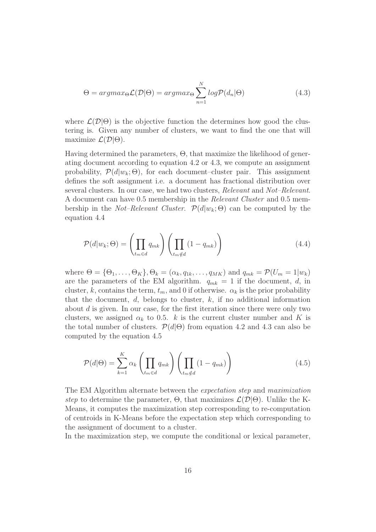$$
\Theta = argmax_{\Theta} \mathcal{L}(\mathcal{D}|\Theta) = argmax_{\Theta} \sum_{n=1}^{N} log \mathcal{P}(d_n|\Theta)
$$
\n(4.3)

where  $\mathcal{L}(\mathcal{D}|\Theta)$  is the objective function the determines how good the clustering is. Given any number of clusters, we want to find the one that will maximize  $\mathcal{L}(\mathcal{D}|\Theta)$ .

Having determined the parameters, Θ, that maximize the likelihood of generating document according to equation 4.2 or 4.3, we compute an assignment probability,  $\mathcal{P}(d|w_k; \Theta)$ , for each document–cluster pair. This assignment defines the soft assignment i.e. a document has fractional distribution over several clusters. In our case, we had two clusters, Relevant and Not–Relevant. A document can have 0.5 membership in the Relevant Cluster and 0.5 membership in the Not–Relevant Cluster.  $\mathcal{P}(d|w_k;\Theta)$  can be computed by the equation 4.4

$$
\mathcal{P}(d|w_k; \Theta) = \left(\prod_{t_m \in d} q_{mk}\right) \left(\prod_{t_m \notin d} (1 - q_{mk})\right) \tag{4.4}
$$

where  $\Theta = {\Theta_1, \ldots, \Theta_K}$ ,  $\Theta_k = (\alpha_k, q_{1k}, \ldots, q_{MK})$  and  $q_{mk} = \mathcal{P}(U_m = 1|w_k)$ are the parameters of the EM algorithm.  $q_{mk} = 1$  if the document, d, in cluster, k, contains the term,  $t_m$ , and 0 if otherwise.  $\alpha_k$  is the prior probability that the document,  $d$ , belongs to cluster,  $k$ , if no additional information about d is given. In our case, for the first iteration since there were only two clusters, we assigned  $\alpha_k$  to 0.5. k is the current cluster number and K is the total number of clusters.  $\mathcal{P}(d|\Theta)$  from equation 4.2 and 4.3 can also be computed by the equation 4.5

$$
\mathcal{P}(d|\Theta) = \sum_{k=1}^{K} \alpha_k \left( \prod_{t_m \in d} q_{mk} \right) \left( \prod_{t_m \notin d} \left( 1 - q_{mk} \right) \right)
$$
(4.5)

The EM Algorithm alternate between the expectation step and maximization step to determine the parameter,  $\Theta$ , that maximizes  $\mathcal{L}(\mathcal{D}|\Theta)$ . Unlike the K-Means, it computes the maximization step corresponding to re-computation of centroids in K-Means before the expectation step which corresponding to the assignment of document to a cluster.

In the maximization step, we compute the conditional or lexical parameter,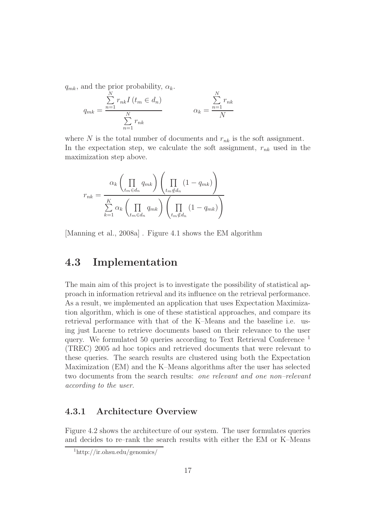$q_{mk}$ , and the prior probability,  $\alpha_k$ .

$$
q_{mk} = \frac{\sum_{n=1}^{N} r_{nk} I(t_m \in d_n)}{\sum_{n=1}^{N} r_{nk}}
$$
 
$$
\alpha_k = \frac{\sum_{n=1}^{N} r_{nk}}{N}
$$

where N is the total number of documents and  $r_{nk}$  is the soft assignment. In the expectation step, we calculate the soft assignment,  $r_{nk}$  used in the maximization step above.

$$
r_{nk} = \frac{\alpha_k \left(\prod_{t_m \in d_n} q_{mk}\right) \left(\prod_{t_m \notin d_n} (1 - q_{mk})\right)}{\sum_{k=1}^K \alpha_k \left(\prod_{t_m \in d_n} q_{mk}\right) \left(\prod_{t_m \notin d_n} (1 - q_{mk})\right)}
$$

[Manning et al., 2008a] . Figure 4.1 shows the EM algorithm

### 4.3 Implementation

The main aim of this project is to investigate the possibility of statistical approach in information retrieval and its influence on the retrieval performance. As a result, we implemented an application that uses Expectation Maximization algorithm, which is one of these statistical approaches, and compare its retrieval performance with that of the K–Means and the baseline i.e. using just Lucene to retrieve documents based on their relevance to the user query. We formulated 50 queries according to Text Retrieval Conference <sup>1</sup> (TREC) 2005 ad hoc topics and retrieved documents that were relevant to these queries. The search results are clustered using both the Expectation Maximization (EM) and the K–Means algorithms after the user has selected two documents from the search results: one relevant and one non–relevant according to the user.

#### 4.3.1 Architecture Overview

Figure 4.2 shows the architecture of our system. The user formulates queries and decides to re–rank the search results with either the EM or K–Means

 $1$ http://ir.ohsu.edu/genomics/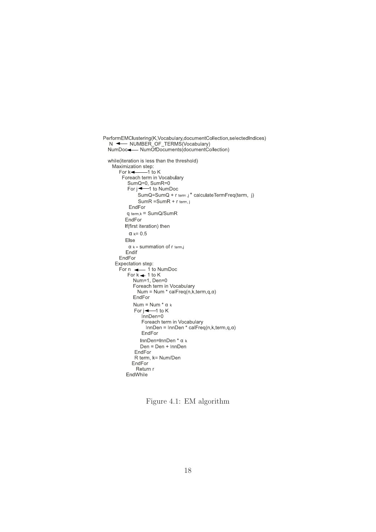```
PerformEMClustering(K,Vocabulary,documentCollection,selectedIndices)
  N \leftarrow \text{NUMBER} OF TERMS (Vocabulary)
  NumDoc-NumOfDocuments(documentCollection)
  while(iteration is less than the threshold)
    Maximization step:
       For k \rightarrow-1 to K
         Foreach term in Vocabulary
           SumQ=0, SumR=0<br>For j \leftarrow 1 to NumDoc
                 .<br>SumQ=SumQ + r term,j * calculateTermFreq(term, j)
                 SumR = SumR + r term, j
            EndFor
           q term,k = SumQ/SumREndFor
          If(first iteration) then
            \alpha k= 0.5
          Else
            \alpha k = summation of r term.
           Endif
       EndFor
      Expectation step:
       For \leftarrow 1 to NumDoc<br>For k \leftarrow 1 to K
              Num=1, Den=0
              Num-1, Den-0<br>Foreach term in Vocabulary<br>Num = Num * calFreq(n,k,term,q,α)
              EndFor
              Num = Num * \alpha kFor i \leftarrow 1 to K
                  InDen=0Foreach term in Vocabulary
                    InnDen = InnDen * calFreq(n,k,term,q,\alpha)
                   EndFor
                  InnDen=InnDen * α k
                  Den = Den + InnDen
               EndFor
               R term, k= Num/Den
              EndFor
                Return r
           EndWhile
```
Figure 4.1: EM algorithm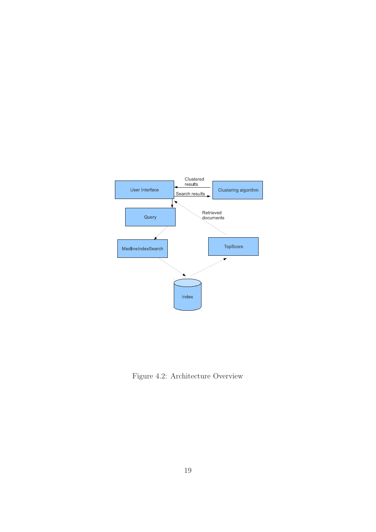

Figure 4.2: Architecture Overview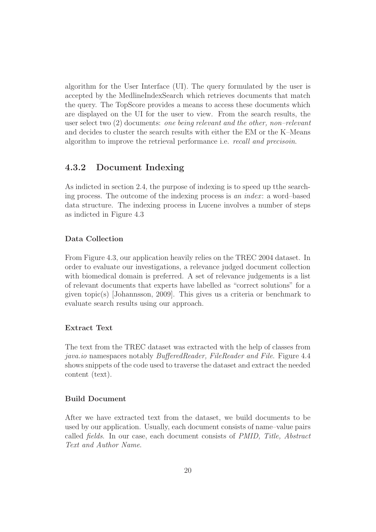algorithm for the User Interface (UI). The query formulated by the user is accepted by the MedlineIndexSearch which retrieves documents that match the query. The TopScore provides a means to access these documents which are displayed on the UI for the user to view. From the search results, the user select two (2) documents: one being relevant and the other, non–relevant and decides to cluster the search results with either the EM or the K–Means algorithm to improve the retrieval performance i.e. recall and precisoin.

#### 4.3.2 Document Indexing

As indicted in section 2.4, the purpose of indexing is to speed up tthe searching process. The outcome of the indexing process is an index: a word–based data structure. The indexing process in Lucene involves a number of steps as indicted in Figure 4.3

#### Data Collection

From Figure 4.3, our application heavily relies on the TREC 2004 dataset. In order to evaluate our investigations, a relevance judged document collection with biomedical domain is preferred. A set of relevance judgements is a list of relevant documents that experts have labelled as "correct solutions" for a given topic(s) [Johannsson, 2009]. This gives us a criteria or benchmark to evaluate search results using our approach.

#### Extract Text

The text from the TREC dataset was extracted with the help of classes from java.io namespaces notably BufferedReader, FileReader and File. Figure 4.4 shows snippets of the code used to traverse the dataset and extract the needed content (text).

#### Build Document

After we have extracted text from the dataset, we build documents to be used by our application. Usually, each document consists of name–value pairs called fields. In our case, each document consists of PMID, Title, Abstract Text and Author Name.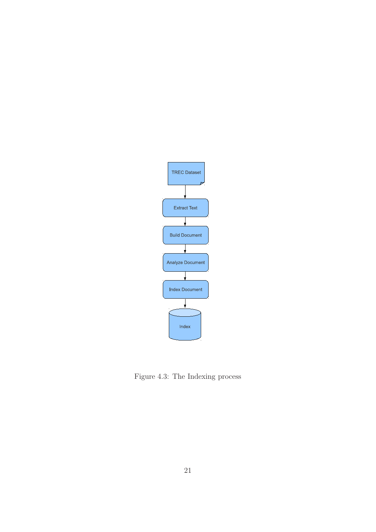

Figure 4.3: The Indexing process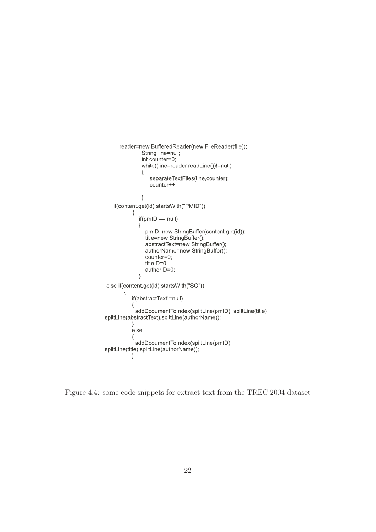```
reader=new BufferedReader(new FileReader(file));
               String line=null;<br>int counter=0;
               while((line=reader.readLine())!=null)
               \{separateTextFiles(line,counter);
                  counter++\}if(content.get(id).startsWith("PMID"))
           \{if(pmID == null)\{pmID=new StringBuffer(content.get(id));
                 title=new StringBuffer();
                 abstractText=new StringBuffer();
                 authorName=new StringBuffer();
                 counter=0;
                 titleID=0;
                 authorID=0;
              \rightarrowelse if(content.get(id).startsWith("SO"))
       \{if(abstractText!=null)
           \{addDcoumentToIndex(spiltLine(pmID), spiltLine(title)
spiltLine(abstractText),spiltLine(authorName));
           \}e<sub>lse</sub>
           ₹
            addDcoumentToIndex(spiltLine(pmID),
spiltLine(title),spiltLine(authorName));
           \}
```
Figure 4.4: some code snippets for extract text from the TREC 2004 dataset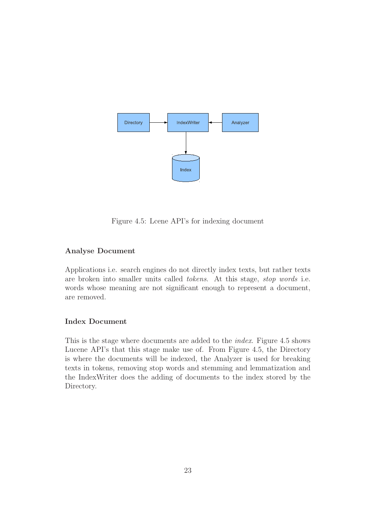

Figure 4.5: Lcene API's for indexing document

#### Analyse Document

Applications i.e. search engines do not directly index texts, but rather texts are broken into smaller units called tokens. At this stage, stop words i.e. words whose meaning are not significant enough to represent a document, are removed.

#### Index Document

This is the stage where documents are added to the index. Figure 4.5 shows Lucene API's that this stage make use of. From Figure 4.5, the Directory is where the documents will be indexed, the Analyzer is used for breaking texts in tokens, removing stop words and stemming and lemmatization and the IndexWriter does the adding of documents to the index stored by the Directory.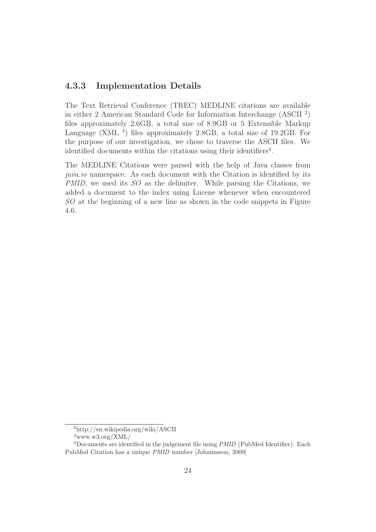#### 4.3.3 Implementation Details

The Text Retrieval Conference (TREC) MEDLINE citations are available in either 2 American Standard Code for Information Interchange (ASCII <sup>2</sup> ) files approximately 2.6GB, a total size of 8.9GB or 5 Extensible Markup Language  $(XML<sup>3</sup>)$  files approximately 2.8GB, a total size of 19.2GB. For the purpose of our investigation, we chose to traverse the ASCII files. We identified documents within the citations using their identifiers<sup>4</sup>.

The MEDLINE Citations were parsed with the help of Java classes from java.io namespace. As each document with the Citation is identified by its PMID, we used its SO as the delimiter. While parsing the Citations, we added a document to the index using Lucene whenever when encountered SO at the beginning of a new line as shown in the code snippets in Figure 4.6.

<sup>2</sup>http://en.wikipedia.org/wiki/ASCII

 $3$ www.w $3.0$ rg/XML/

<sup>4</sup>Documents are identified in the judgement file using PMID (PubMed Identifier). Each PubMed Citation has a unique PMID number [Johannsson, 2009]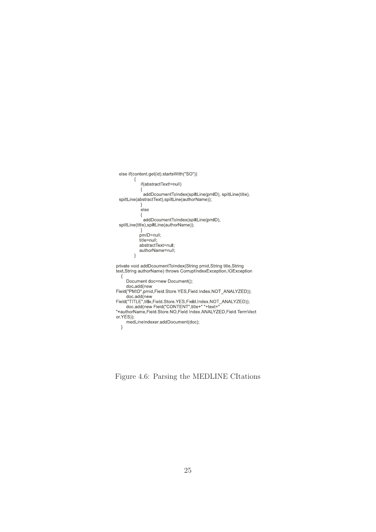```
else if(content.get(id).startsWith("SO"))
                 \left\{ \right.if(abstractText!=null)
                      \{{<br>addDcoumentToIndex(spiltLine(pmID), spiltLine(title),<br>spiltLine(abstractText),spiltLine(authorName));
                      \}else
                      \{addDcoumentToIndex(spiltLine(pmID),<br>spiltLine(title),spiltLine(authorName));
                      \}/<br>pmID=null;<br>title=null;<br>abstractText=null;
                     authorName=null;
                 \overline{\ }private void addDcoumentToIndex(String pmid,String title,String<br>text,String authorName) throws CorruptIndexException,IOException
     \{{<br>
Document doc=new Document();<br>
doc.add(new<br>
Field("PMID",pmid,Field.Store.YES,Field.Index.NOT_ANALYZED));<br>
doc.add(new<br>
Field("TITLE",title,Field.Store.YES,Field.Index.NOT_ANALYZED));<br>
doc.add(new Field("CONTENT",title+"
 "+authorName,Field.Store.NO,Field.Index.ANALYZED,Field.TermVect
or.YES));
         ___,,,<br>medLineIndexer.addDocument(doc);
    \rightarrow
```
Figure 4.6: Parsing the MEDLINE CItations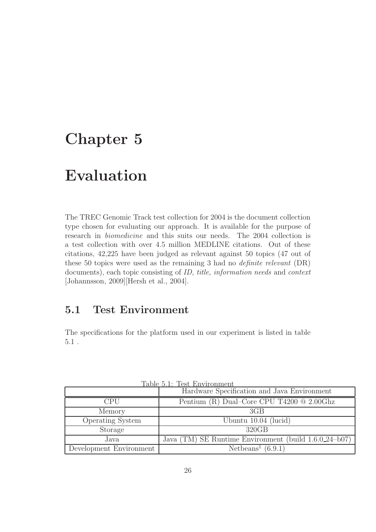## Chapter 5

## Evaluation

The TREC Genomic Track test collection for 2004 is the document collection type chosen for evaluating our approach. It is available for the purpose of research in biomedicine and this suits our needs. The 2004 collection is a test collection with over 4.5 million MEDLINE citations. Out of these citations, 42,225 have been judged as relevant against 50 topics (47 out of these 50 topics were used as the remaining 3 had no definite relevant (DR) documents), each topic consisting of ID, title, information needs and context [Johannsson, 2009][Hersh et al., 2004].

## 5.1 Test Environment

The specifications for the platform used in our experiment is listed in table 5.1 .

|                         | Hardware Specification and Java Environment           |  |  |
|-------------------------|-------------------------------------------------------|--|--|
| <b>CPU</b>              | Pentium (R) Dual-Core CPU T4200 $@$ 2.00Ghz           |  |  |
| Memory                  | 3GB                                                   |  |  |
| <b>Operating System</b> | Ubuntu $10.04$ (lucid)                                |  |  |
| Storage                 | 320GB                                                 |  |  |
| Java                    | Java (TM) SE Runtime Environment (build 1.6.0.24–b07) |  |  |
| Development Environment | Netbeans <sup>1</sup> $(6.9.1)$                       |  |  |

Table 5.1: Test Environment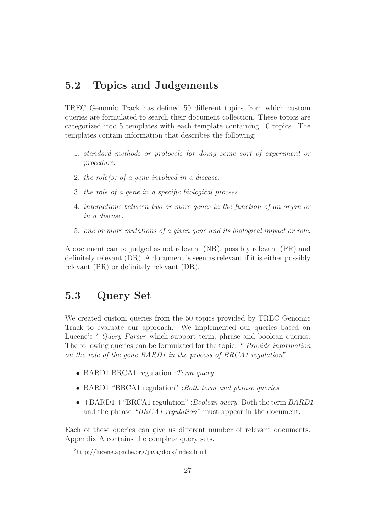## 5.2 Topics and Judgements

TREC Genomic Track has defined 50 different topics from which custom queries are formulated to search their document collection. These topics are categorized into 5 templates with each template containing 10 topics. The templates contain information that describes the following:

- 1. standard methods or protocols for doing some sort of experiment or procedure.
- 2. the role(s) of a gene involved in a disease.
- 3. the role of a gene in a specific biological process.
- 4. interactions between two or more genes in the function of an organ or in a disease.
- 5. one or more mutations of a given gene and its biological impact or role.

A document can be judged as not relevant (NR), possibly relevant (PR) and definitely relevant (DR). A document is seen as relevant if it is either possibly relevant (PR) or definitely relevant (DR).

## 5.3 Query Set

We created custom queries from the 50 topics provided by TREC Genomic Track to evaluate our approach. We implemented our queries based on Lucene's <sup>2</sup> Query Parser which support term, phrase and boolean queries. The following queries can be formulated for the topic: " Provide information on the role of the gene BARD1 in the process of BRCA1 regulation"

- BARD1 BRCA1 regulation : Term query
- BARD1 "BRCA1 regulation" :Both term and phrase queries
- $+BARD1 + "BRCA1 regulation" : Boolean query–Both the term  $BARD1$$ and the phrase "BRCA1 regulation" must appear in the document.

Each of these queries can give us different number of relevant documents. Appendix A contains the complete query sets.

<sup>2</sup>http://lucene.apache.org/java/docs/index.html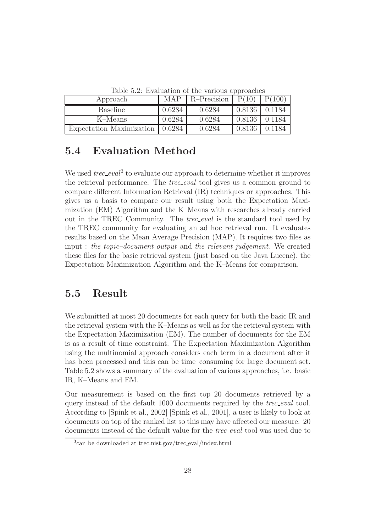| Approach                 | MAP    | R-Precision | P(10)  |        |
|--------------------------|--------|-------------|--------|--------|
| <b>Baseline</b>          | 0.6284 | 0.6284      | 0.8136 | 0.1184 |
| K-Means                  | 0.6284 | 0.6284      | 0.8136 | 0.1184 |
| Expectation Maximization | 0.6284 | 0.6284      | 0.8136 | 0.1184 |

Table 5.2: Evaluation of the various approaches

## 5.4 Evaluation Method

We used  $tree\_eval^3$  to evaluate our approach to determine whether it improves the retrieval performance. The *trec\_eval* tool gives us a common ground to compare different Information Retrieval (IR) techniques or approaches. This gives us a basis to compare our result using both the Expectation Maximization (EM) Algorithm and the K–Means with researches already carried out in the TREC Community. The *trec\_eval* is the standard tool used by the TREC community for evaluating an ad hoc retrieval run. It evaluates results based on the Mean Average Precision (MAP). It requires two files as input : the topic–document output and the relevant judgement. We created these files for the basic retrieval system (just based on the Java Lucene), the Expectation Maximization Algorithm and the K–Means for comparison.

### 5.5 Result

We submitted at most 20 documents for each query for both the basic IR and the retrieval system with the K–Means as well as for the retrieval system with the Expectation Maximization (EM). The number of documents for the EM is as a result of time constraint. The Expectation Maximization Algorithm using the multinomial approach considers each term in a document after it has been processed and this can be time–consuming for large document set. Table 5.2 shows a summary of the evaluation of various approaches, i.e. basic IR, K–Means and EM.

Our measurement is based on the first top 20 documents retrieved by a query instead of the default 1000 documents required by the *trec\_eval* tool. According to [Spink et al., 2002] [Spink et al., 2001], a user is likely to look at documents on top of the ranked list so this may have affected our measure. 20 documents instead of the default value for the *trec<sub>-eval</sub>* tool was used due to

<sup>3</sup> can be downloaded at trec.nist.gov/trec eval/index.html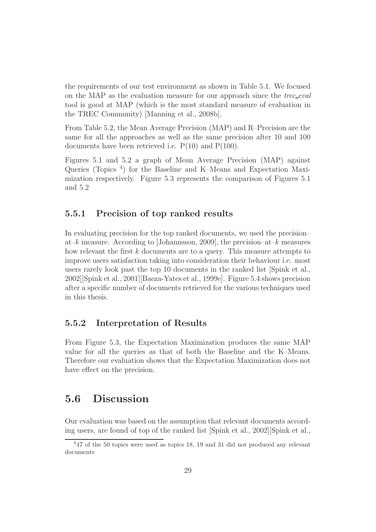the requirements of our test environment as shown in Table 5.1. We focused on the MAP as the evaluation measure for our approach since the  $tree\_eval$ tool is good at MAP (which is the most standard measure of evaluation in the TREC Community) [Manning et al., 2008b].

From Table 5.2, the Mean Average Precision (MAP) and R–Precision are the same for all the approaches as well as the same precision after 10 and 100 documents have been retrieved i.e.  $P(10)$  and  $P(100)$ .

Figures 5.1 and 5.2 a graph of Mean Average Precision (MAP) against Queries (Topics<sup>4</sup>) for the Baseline and K–Means and Expectation Maximization respectively. Figure 5.3 represents the comparison of Figures 5.1 and 5.2

#### 5.5.1 Precision of top ranked results

In evaluating precision for the top ranked documents, we used the precision– at–k measure. According to [Johannsson, 2009], the precision–at–k measures how relevant the first k documents are to a query. This measure attempts to improve users satisfaction taking into consideration their behaviour i.e. most users rarely look past the top 10 documents in the ranked list [Spink et al., 2002][Spink et al., 2001][Baeza-Yates et al., 1999e]. Figure 5.4 shows precision after a specific number of documents retrieved for the various techniques used in this thesis.

#### 5.5.2 Interpretation of Results

From Figure 5.3, the Expectation Maximization produces the same MAP value for all the queries as that of both the Baseline and the K–Means. Therefore our evaluation shows that the Expectation Maximization does not have effect on the precision.

### 5.6 Discussion

Our evaluation was based on the assumption that relevant documents according users, are found of top of the ranked list [Spink et al., 2002][Spink et al.,

<sup>4</sup>47 of the 50 topics were used as topics 18, 19 and 31 did not produced any relevant documents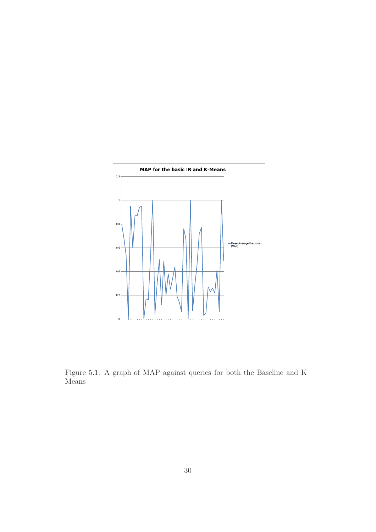

Figure 5.1: A graph of MAP against queries for both the Baseline and K– Means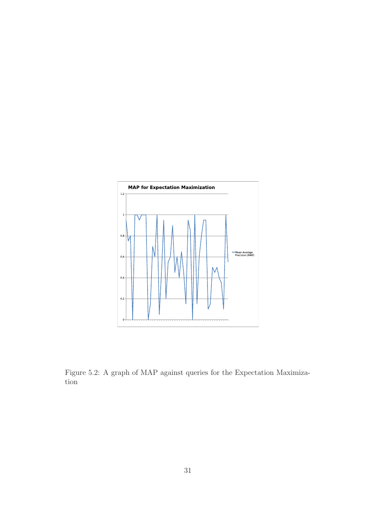

Figure 5.2: A graph of MAP against queries for the Expectation Maximization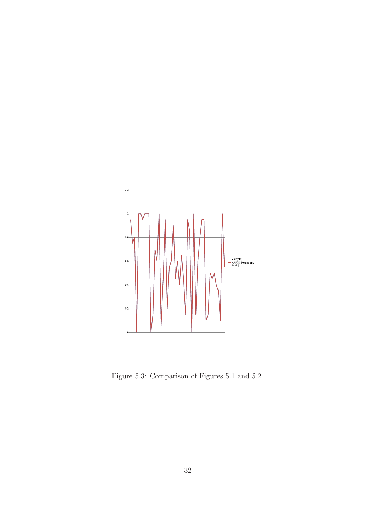

Figure 5.3: Comparison of Figures 5.1 and 5.2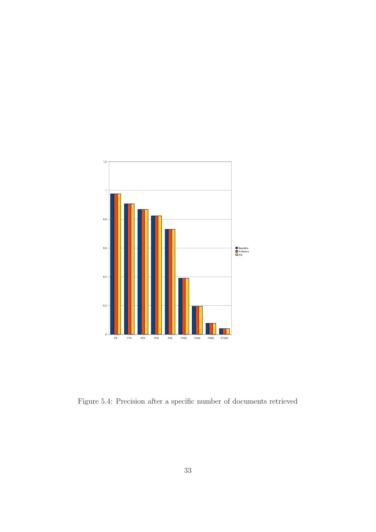

Figure 5.4: Precision after a specific number of documents retrieved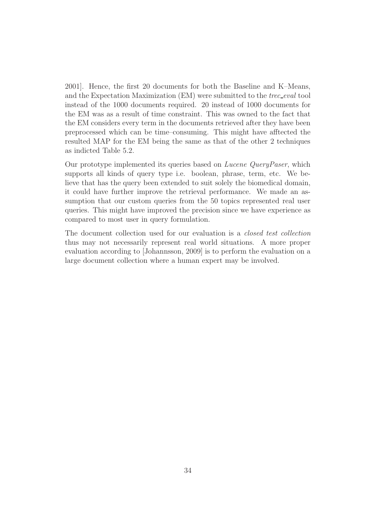2001]. Hence, the first 20 documents for both the Baseline and K–Means, and the Expectation Maximization (EM) were submitted to the *trec\_eval* tool instead of the 1000 documents required. 20 instead of 1000 documents for the EM was as a result of time constraint. This was owned to the fact that the EM considers every term in the documents retrieved after they have been preprocessed which can be time–consuming. This might have afftected the resulted MAP for the EM being the same as that of the other 2 techniques as indicted Table 5.2.

Our prototype implemented its queries based on Lucene QueryPaser, which supports all kinds of query type i.e. boolean, phrase, term, etc. We believe that has the query been extended to suit solely the biomedical domain, it could have further improve the retrieval performance. We made an assumption that our custom queries from the 50 topics represented real user queries. This might have improved the precision since we have experience as compared to most user in query formulation.

The document collection used for our evaluation is a closed test collection thus may not necessarily represent real world situations. A more proper evaluation according to [Johannsson, 2009] is to perform the evaluation on a large document collection where a human expert may be involved.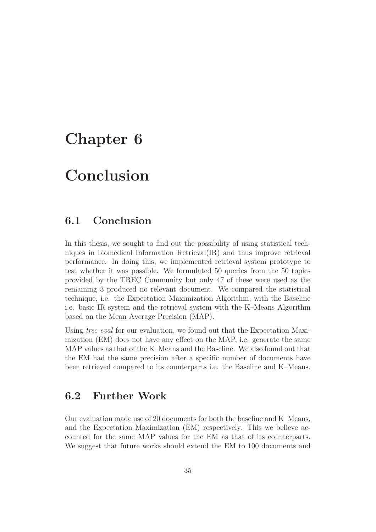## Chapter 6

## Conclusion

### 6.1 Conclusion

In this thesis, we sought to find out the possibility of using statistical techniques in biomedical Information Retrieval(IR) and thus improve retrieval performance. In doing this, we implemented retrieval system prototype to test whether it was possible. We formulated 50 queries from the 50 topics provided by the TREC Community but only 47 of these were used as the remaining 3 produced no relevant document. We compared the statistical technique, i.e. the Expectation Maximization Algorithm, with the Baseline i.e. basic IR system and the retrieval system with the K–Means Algorithm based on the Mean Average Precision (MAP).

Using *trec\_eval* for our evaluation, we found out that the Expectation Maximization (EM) does not have any effect on the MAP, i.e. generate the same MAP values as that of the K–Means and the Baseline. We also found out that the EM had the same precision after a specific number of documents have been retrieved compared to its counterparts i.e. the Baseline and K–Means.

### 6.2 Further Work

Our evaluation made use of 20 documents for both the baseline and K–Means, and the Expectation Maximization (EM) respectively. This we believe accounted for the same MAP values for the EM as that of its counterparts. We suggest that future works should extend the EM to 100 documents and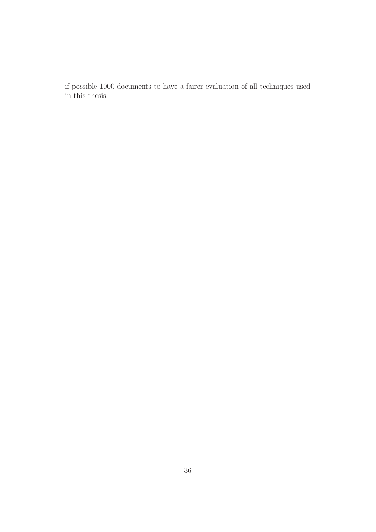if possible 1000 documents to have a fairer evaluation of all techniques used in this thesis.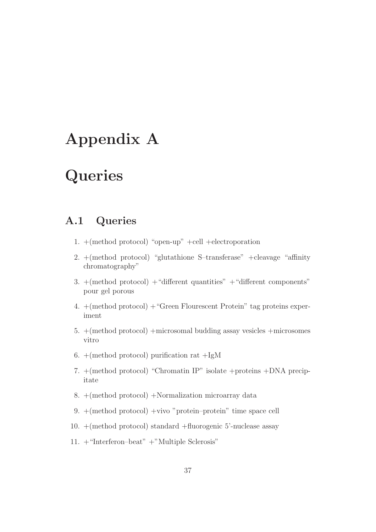## Appendix A

## **Queries**

## A.1 Queries

- 1. +(method protocol) "open-up" +cell +electroporation
- 2. +(method protocol) "glutathione S–transferase" +cleavage "affinity chromatography"
- 3.  $+($ method protocol $) +$ "different quantities"  $+$ "different components" pour gel porous
- 4. +(method protocol) +"Green Flourescent Protein" tag proteins experiment
- 5. +(method protocol) +microsomal budding assay vesicles +microsomes vitro
- 6.  $+($ method protocol) purification rat  $+IgM$
- 7. +(method protocol) "Chromatin IP" isolate +proteins +DNA precipitate
- 8. +(method protocol) +Normalization microarray data
- 9. +(method protocol) +vivo "protein–protein" time space cell
- 10. +(method protocol) standard +fluorogenic 5'-nuclease assay
- 11. +"Interferon–beat" +"Multiple Sclerosis"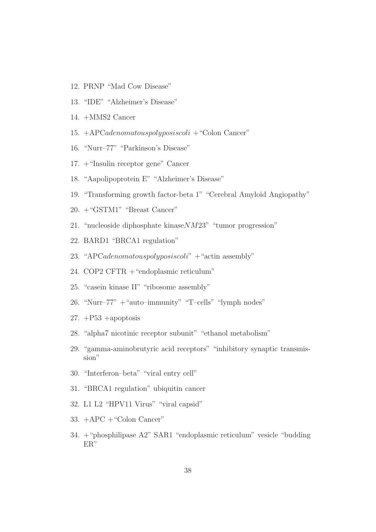- 12. PRNP "Mad Cow Disease"
- 13. "IDE" "Alzheimer's Disease"
- 14. +MMS2 Cancer
- 15.  $+APCadenomatous polyposiscoli + "Colon Cancer"$
- 16. "Nurr–77" "Parkinson's Disease"
- 17. +"Insulin receptor gene" Cancer
- 18. "Aapolipoprotein E" "Alzheimer's Disease"
- 19. "Transforming growth factor-beta 1" "Cerebral Amyloid Angiopathy"
- 20. +"GSTM1" "Breast Cancer"
- 21. "nucleoside diphosphate kinaseNM23" "tumor progression"
- 22. BARD1 "BRCA1 regulation"
- 23. "APCadenomatouspolyposiscoli"  $+$  "actin assembly"
- 24. COP2 CFTR +"endoplasmic reticulum"
- 25. "casein kinase II" "ribosome assembly"
- 26. "Nurr–77"  $+$  "auto–immunity" "T–cells" "lymph nodes"
- 27.  $+P53$  +apoptosis
- 28. "alpha7 nicotinic receptor subunit" "ethanol metabolism"
- 29. "gamma-aminobrutyric acid receptors" "inhibitory synaptic transmission"
- 30. "Interferon–beta" "viral entry cell"
- 31. "BRCA1 regulation" ubiquitin cancer
- 32. L1 L2 "HPV11 Virus" "viral capsid"
- 33. +APC +"Colon Cancer"
- 34. +"phosphilipase A2" SAR1 "endoplasmic reticulum" vesicle "budding ER"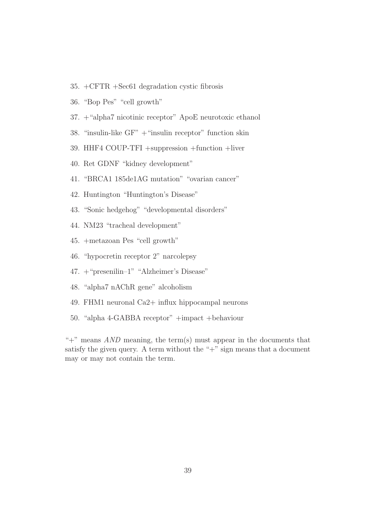- 35. +CFTR +Sec61 degradation cystic fibrosis
- 36. "Bop Pes" "cell growth"
- 37. +"alpha7 nicotinic receptor" ApoE neurotoxic ethanol
- 38. "insulin-like GF" +"insulin receptor" function skin
- 39. HHF4 COUP-TFI +suppression +function +liver
- 40. Ret GDNF "kidney development"
- 41. "BRCA1 185de1AG mutation" "ovarian cancer"
- 42. Huntington "Huntington's Disease"
- 43. "Sonic hedgehog" "developmental disorders"
- 44. NM23 "tracheal development"
- 45. +metazoan Pes "cell growth"
- 46. "hypocretin receptor 2" narcolepsy
- 47. +"presenilin–1" "Alzheimer's Disease"
- 48. "alpha7 nAChR gene" alcoholism
- 49. FHM1 neuronal Ca2+ influx hippocampal neurons
- 50. "alpha 4-GABBA receptor" +impact +behaviour

" $+$ " means *AND* meaning, the term(s) must appear in the documents that satisfy the given query. A term without the " $+$ " sign means that a document may or may not contain the term.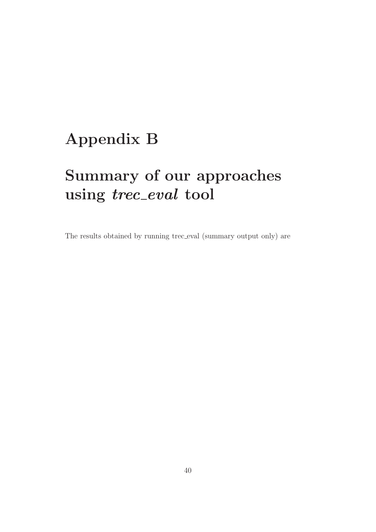# Appendix B

# Summary of our approaches using trec\_eval tool

The results obtained by running trec eval (summary output only) are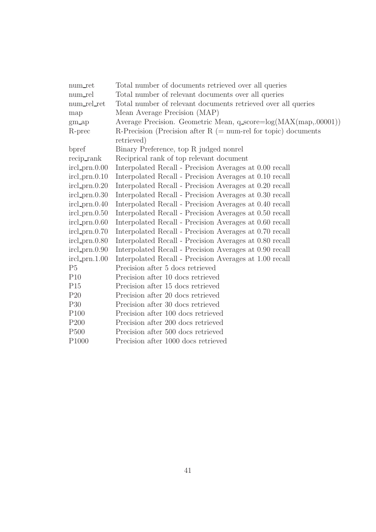| num_ret                 | Total number of documents retrieved over all queries             |  |  |
|-------------------------|------------------------------------------------------------------|--|--|
| num_rel                 | Total number of relevant documents over all queries              |  |  |
| num_rel_ret             | Total number of relevant documents retrieved over all queries    |  |  |
| map                     | Mean Average Precision (MAP)                                     |  |  |
| $gm$ <sub>-ap</sub>     | Average Precision. Geometric Mean, q_score=log(MAX(map,.00001))  |  |  |
| R-prec                  | R-Precision (Precision after $R$ (= num-rel for topic) documents |  |  |
|                         | retrieved)                                                       |  |  |
| bpref                   | Binary Preference, top R judged nonrel                           |  |  |
| $recip\_rank$           | Reciprical rank of top relevant document                         |  |  |
| $ircl\_prn.0.00$        | Interpolated Recall - Precision Averages at 0.00 recall          |  |  |
| $ircl\_prn.0.10$        | Interpolated Recall - Precision Averages at 0.10 recall          |  |  |
| $ircl\_prn.0.20$        | Interpolated Recall - Precision Averages at 0.20 recall          |  |  |
| $ircl\_prn.0.30$        | Interpolated Recall - Precision Averages at 0.30 recall          |  |  |
| $ircl\_prn.0.40$        | Interpolated Recall - Precision Averages at 0.40 recall          |  |  |
| $\text{ircl\_prn}.0.50$ | Interpolated Recall - Precision Averages at 0.50 recall          |  |  |
| $ircl\_prn.0.60$        | Interpolated Recall - Precision Averages at 0.60 recall          |  |  |
| $ircl\_prn.0.70$        | Interpolated Recall - Precision Averages at 0.70 recall          |  |  |
| $ircl\_prn.0.80$        | Interpolated Recall - Precision Averages at 0.80 recall          |  |  |
| $ircl\_prn.0.90$        | Interpolated Recall - Precision Averages at 0.90 recall          |  |  |
| $ircl\_prn.1.00$        | Interpolated Recall - Precision Averages at 1.00 recall          |  |  |
| P <sub>5</sub>          | Precision after 5 docs retrieved                                 |  |  |
| P10                     | Precision after 10 docs retrieved                                |  |  |
| P15                     | Precision after 15 docs retrieved                                |  |  |
| P <sub>20</sub>         | Precision after 20 docs retrieved                                |  |  |
| P30                     | Precision after 30 docs retrieved                                |  |  |
| P <sub>100</sub>        | Precision after 100 docs retrieved                               |  |  |
| P200                    | Precision after 200 docs retrieved                               |  |  |
| P <sub>500</sub>        | Precision after 500 docs retrieved                               |  |  |
| P <sub>1000</sub>       | Precision after 1000 docs retrieved                              |  |  |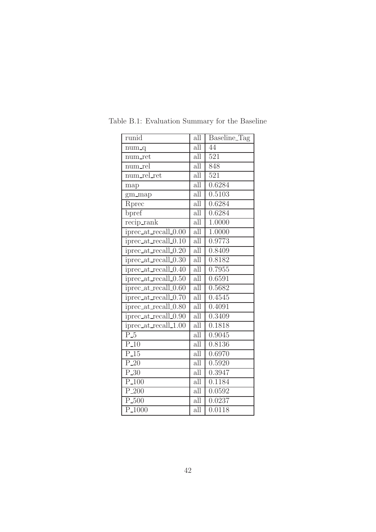| runid                | all                     | Baseline_Tag |
|----------------------|-------------------------|--------------|
| $num_q$              | all                     | 44           |
| num_ret              | all                     | 521          |
| num_rel              | all                     | 848          |
| num_rel_ret          | all                     | 521          |
| map                  | all                     | 0.6284       |
| gm_map               | all                     | 0.5103       |
| Rprec                | $\overline{\text{all}}$ | 0.6284       |
| bpref                | all                     | 0.6284       |
| recip_rank           | all                     | 1.0000       |
| iprec_at_recall_0.00 | all                     | 1.0000       |
| iprec_at_recall_0.10 | $\overline{\text{all}}$ | 0.9773       |
| iprec_at_recall_0.20 | all                     | 0.8409       |
| iprec_at_recall_0.30 | $\overline{\text{all}}$ | 0.8182       |
| iprec_at_recall_0.40 | all                     | 0.7955       |
| iprec_at_recall_0.50 | $\overline{\text{all}}$ | 0.6591       |
| iprec_at_recall_0.60 | all                     | 0.5682       |
| iprec_at_recall_0.70 | $\overline{\text{all}}$ | 0.4545       |
| iprec_at_recall_0.80 | all                     | 0.4091       |
| iprec_at_recall_0.90 | all                     | 0.3409       |
| iprec_at_recall_1.00 | all                     | 0.1818       |
| $\overline{P_5}$     | all                     | 0.9045       |
| $P_10$               | all                     | 0.8136       |
| $P_{15}$             | $\overline{\text{all}}$ | 0.6970       |
| $P_20$               | all                     | 0.5920       |
| $P_30$               | all                     | 0.3947       |
| $\overline{P_100}$   | $\overline{\text{all}}$ | 0.1184       |
| $P_{.200}$           | $\overline{\text{all}}$ | 0.0592       |
| $P_500$              | all                     | 0.0237       |
| $P_{.1000}$          | all                     | 0.0118       |

Table B.1: Evaluation Summary for the Baseline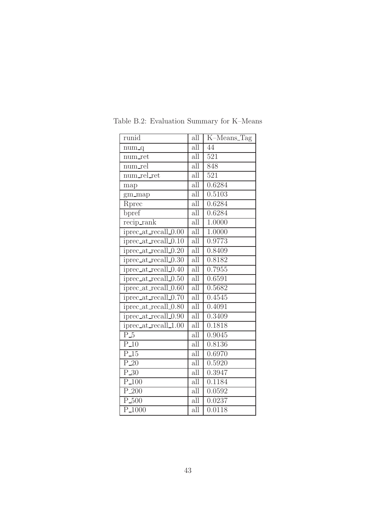| runid                                        | all                     | K-Means_Tag         |
|----------------------------------------------|-------------------------|---------------------|
| $num_q$                                      | $\overline{\text{all}}$ | 44                  |
| num_ret                                      | all                     | 521                 |
| num_rel                                      | all                     | 848                 |
| num_rel_ret                                  | all                     | 521                 |
| map                                          | all                     | 0.6284              |
| gm_map                                       | all                     | $\overline{0.5}103$ |
| Rprec                                        | $\overline{\text{all}}$ | 0.6284              |
| bpref                                        | all                     | 0.6284              |
| recip_rank                                   | all                     | 1.0000              |
| iprec_at_recall_0.00                         | all                     | 1.0000              |
| iprec_at_recall_0.10                         | $\overline{\text{all}}$ | 0.9773              |
| iprec_at_recall_0.20                         | all                     | 0.8409              |
| $iprec_at_recall_0.30$                       | $\overline{\text{all}}$ | 0.8182              |
| iprec_at_recall_ $\overline{0.40}$           | all                     | 0.7955              |
| iprec_at_recall_0.50                         | all                     | 0.6591              |
| iprec_at_recall $\overline{\phantom{0}0.60}$ | all                     | 0.5682              |
| iprec_at_recall_0.70                         | all                     | 0.4545              |
| iprec_at_recall_0.80                         | all                     | 0.4091              |
| iprec_at_recall_0.90                         | all                     | 0.3409              |
| iprec_at_recall_1.00                         | all                     | 0.1818              |
| $\overline{P_5}$                             | all                     | 0.9045              |
| $P_1$ 10                                     | all                     | 0.8136              |
| $P_{15}$                                     | all                     | 0.6970              |
| $\overline{P_20}$                            | all                     | 0.5920              |
| $P_30$                                       | all                     | 0.3947              |
| $\overline{P_100}$                           | $\overline{\text{all}}$ | 0.1184              |
| $P_{.200}$                                   | $\overline{\text{all}}$ | 0.0592              |
| $P_500$                                      | all                     | 0.0237              |
| P <sub>-1000</sub>                           | all                     | 0.0118              |

Table B.2: Evaluation Summary for K–Means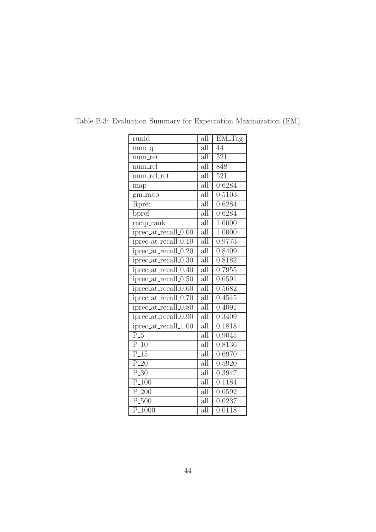| runid                | all                     | EM_Tag              |
|----------------------|-------------------------|---------------------|
| $num_q$              | $\overline{\text{all}}$ | 44                  |
| num_ret              | all                     | 521                 |
| num_rel              | $\overline{\text{all}}$ | 848                 |
| num_rel_ret          | $\overline{\text{all}}$ | $\overline{521}$    |
| map                  | all                     | 0.6284              |
| gm_map               | $\overline{\text{all}}$ | 0.5103              |
| Rprec                | $\overline{\text{all}}$ | 0.6284              |
| bpref                | $\overline{\text{all}}$ | 0.6284              |
| $recip\_rank$        | $\overline{\text{all}}$ | 1.0000              |
| iprec_at_recall_0.00 | $\overline{\text{all}}$ | 1.0000              |
| iprec_at_recall_0.10 | $\overline{\text{all}}$ | 0.9773              |
| iprec_at_recall_0.20 | $\overline{\text{all}}$ | $\overline{0.8409}$ |
| iprec_at_recall_0.30 | all                     | 0.8182              |
| iprec_at_recall_0.40 | $\overline{\text{all}}$ | 0.7955              |
| iprec_at_recall_0.50 | $\overline{\text{all}}$ | 0.6591              |
| iprec_at_recall_0.60 | $\overline{\text{all}}$ | 0.5682              |
| iprec_at_recall_0.70 | all                     | 0.4545              |
| iprec_at_recall_0.80 | $\overline{\text{all}}$ | 0.4091              |
| iprec_at_recall_0.90 | $\overline{\text{all}}$ | 0.3409              |
| iprec_at_recall_1.00 | $\overline{\text{all}}$ | 0.1818              |
| $\overline{P_{-5}}$  | $\overline{\text{all}}$ | 0.9045              |
| $\overline{P.10}$    | $\overline{\text{all}}$ | 0.8136              |
| $P_{15}$             | all                     | 0.6970              |
| $\overline{P_2}0$    | $\overline{\text{all}}$ | 0.5920              |
| $P_30$               | $\overline{\text{all}}$ | 0.3947              |
| $P_{.}100$           | $\overline{\text{all}}$ | 0.1184              |
| $\overline{P.200}$   | $\overline{\text{all}}$ | 0.0592              |
| $\overline{P.500}$   | $\overline{\text{all}}$ | 0.0237              |
| P <sub>-1000</sub>   | all                     | 0.0118              |

Table B.3: Evaluation Summary for Expectation Maximization (EM)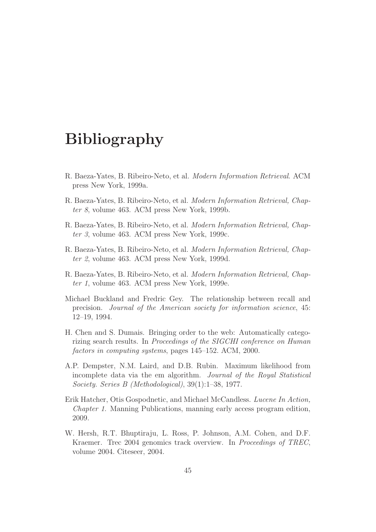## Bibliography

- R. Baeza-Yates, B. Ribeiro-Neto, et al. Modern Information Retrieval. ACM press New York, 1999a.
- R. Baeza-Yates, B. Ribeiro-Neto, et al. Modern Information Retrieval, Chapter 8, volume 463. ACM press New York, 1999b.
- R. Baeza-Yates, B. Ribeiro-Neto, et al. Modern Information Retrieval, Chapter 3, volume 463. ACM press New York, 1999c.
- R. Baeza-Yates, B. Ribeiro-Neto, et al. Modern Information Retrieval, Chapter 2, volume 463. ACM press New York, 1999d.
- R. Baeza-Yates, B. Ribeiro-Neto, et al. Modern Information Retrieval, Chapter 1, volume 463. ACM press New York, 1999e.
- Michael Buckland and Fredric Gey. The relationship between recall and precision. Journal of the American society for information science, 45: 12–19, 1994.
- H. Chen and S. Dumais. Bringing order to the web: Automatically categorizing search results. In *Proceedings of the SIGCHI conference on Human* factors in computing systems, pages 145–152. ACM, 2000.
- A.P. Dempster, N.M. Laird, and D.B. Rubin. Maximum likelihood from incomplete data via the em algorithm. Journal of the Royal Statistical Society. Series B (Methodological), 39(1):1–38, 1977.
- Erik Hatcher, Otis Gospodnetic, and Michael McCandless. Lucene In Action, Chapter 1. Manning Publications, manning early access program edition, 2009.
- W. Hersh, R.T. Bhuptiraju, L. Ross, P. Johnson, A.M. Cohen, and D.F. Kraemer. Trec 2004 genomics track overview. In Proceedings of TREC, volume 2004. Citeseer, 2004.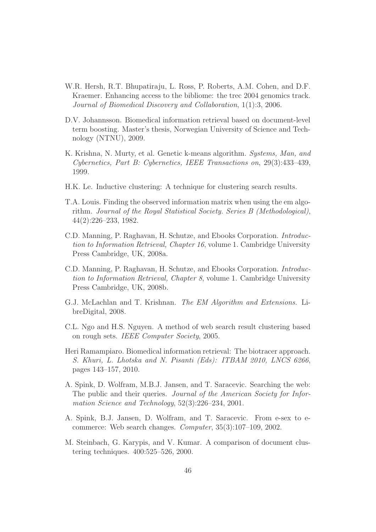- W.R. Hersh, R.T. Bhupatiraju, L. Ross, P. Roberts, A.M. Cohen, and D.F. Kraemer. Enhancing access to the bibliome: the trec 2004 genomics track. Journal of Biomedical Discovery and Collaboration, 1(1):3, 2006.
- D.V. Johannsson. Biomedical information retrieval based on document-level term boosting. Master's thesis, Norwegian University of Science and Technology (NTNU), 2009.
- K. Krishna, N. Murty, et al. Genetic k-means algorithm. Systems, Man, and Cybernetics, Part B: Cybernetics, IEEE Transactions on, 29(3):433–439, 1999.
- H.K. Le. Inductive clustering: A technique for clustering search results.
- T.A. Louis. Finding the observed information matrix when using the em algorithm. Journal of the Royal Statistical Society. Series B (Methodological), 44(2):226–233, 1982.
- C.D. Manning, P. Raghavan, H. Schutze, and Ebooks Corporation. Introduction to Information Retrieval, Chapter 16, volume 1. Cambridge University Press Cambridge, UK, 2008a.
- C.D. Manning, P. Raghavan, H. Schutze, and Ebooks Corporation. Introduction to Information Retrieval, Chapter 8, volume 1. Cambridge University Press Cambridge, UK, 2008b.
- G.J. McLachlan and T. Krishnan. The EM Algorithm and Extensions. LibreDigital, 2008.
- C.L. Ngo and H.S. Nguyen. A method of web search result clustering based on rough sets. IEEE Computer Society, 2005.
- Heri Ramampiaro. Biomedical information retrieval: The biotracer approach. S. Khuri, L. Lhotska and N. Pisanti (Eds): ITBAM 2010, LNCS 6266, pages 143–157, 2010.
- A. Spink, D. Wolfram, M.B.J. Jansen, and T. Saracevic. Searching the web: The public and their queries. Journal of the American Society for Information Science and Technology, 52(3):226–234, 2001.
- A. Spink, B.J. Jansen, D. Wolfram, and T. Saracevic. From e-sex to ecommerce: Web search changes. Computer, 35(3):107–109, 2002.
- M. Steinbach, G. Karypis, and V. Kumar. A comparison of document clustering techniques. 400:525–526, 2000.